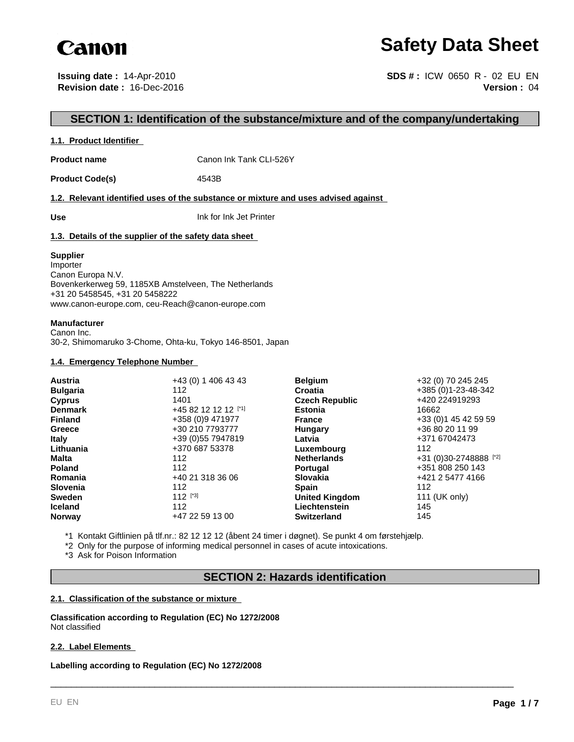

# **Safety Data Sheet**

**Issuing date :** 14-Apr-2010 **Revision date :** 16-Dec-2016

**Version :** 04 **SDS # :** ICW 0650 R - 02 EU EN

## **SECTION 1: Identification of the substance/mixture and of the company/undertaking**

## **1.1. Product Identifier**

**Product name** Canon Ink Tank CLI-526Y

Product Code(s) 4543B

**1.2. Relevant identified uses of the substance or mixture and uses advised against** 

**Use** Ink for Ink Jet Printer

## **1.3. Details of the supplier of the safety data sheet**

## **Supplier**

Importer Canon Europa N.V. Bovenkerkerweg 59, 1185XB Amstelveen, The Netherlands +31 20 5458545, +31 20 5458222 www.canon-europe.com, ceu-Reach@canon-europe.com

## **Manufacturer**

Canon Inc. 30-2, Shimomaruko 3-Chome, Ohta-ku, Tokyo 146-8501, Japan

## **1.4. Emergency Telephone Number**

| <b>Austria</b>  | +43 (0) 1 406 43 43  | <b>Belgium</b>        | +32 (0) 70 245 245     |
|-----------------|----------------------|-----------------------|------------------------|
| <b>Bulgaria</b> | 112                  | Croatia               | +385 (0)1-23-48-342    |
| <b>Cyprus</b>   | 1401                 | <b>Czech Republic</b> | +420 224919293         |
| <b>Denmark</b>  | +45 82 12 12 12 [*1] | <b>Estonia</b>        | 16662                  |
| <b>Finland</b>  | +358 (0)9 471977     | <b>France</b>         | +33 (0) 1 45 42 59 59  |
| Greece          | +30 210 7793777      | Hungary               | +36 80 20 11 99        |
| <b>Italy</b>    | +39 (0) 55 7947819   | Latvia                | +371 67042473          |
| Lithuania       | +370 687 53378       | Luxembourg            | 112                    |
| <b>Malta</b>    | 112                  | <b>Netherlands</b>    | +31 (0)30-2748888 [*2] |
| <b>Poland</b>   | 112                  | <b>Portugal</b>       | +351 808 250 143       |
| Romania         | +40 21 318 36 06     | <b>Slovakia</b>       | +421 2 5477 4166       |
| <b>Slovenia</b> | 112                  | <b>Spain</b>          | 112                    |
| <b>Sweden</b>   | 112 $[^{3}]$         | <b>United Kingdom</b> | 111 (UK only)          |
| <b>Iceland</b>  | 112                  | Liechtenstein         | 145                    |
| <b>Norway</b>   | +47 22 59 13 00      | <b>Switzerland</b>    | 145                    |

\*1 Kontakt Giftlinien på tlf.nr.: 82 12 12 12 (åbent 24 timer i døgnet). Se punkt 4 om førstehjælp.

\*2 Only for the purpose of informing medical personnel in cases of acute intoxications.

\*3 Ask for Poison Information

## **SECTION 2: Hazards identification**

\_\_\_\_\_\_\_\_\_\_\_\_\_\_\_\_\_\_\_\_\_\_\_\_\_\_\_\_\_\_\_\_\_\_\_\_\_\_\_\_\_\_\_\_\_\_\_\_\_\_\_\_\_\_\_\_\_\_\_\_\_\_\_\_\_\_\_\_\_\_\_\_\_\_\_\_\_\_\_\_\_\_\_\_\_\_\_\_\_

## **2.1. Classification of the substance or mixture**

**Classification according to Regulation (EC) No 1272/2008** Not classified

## **2.2. Label Elements**

**Labelling according to Regulation (EC) No 1272/2008**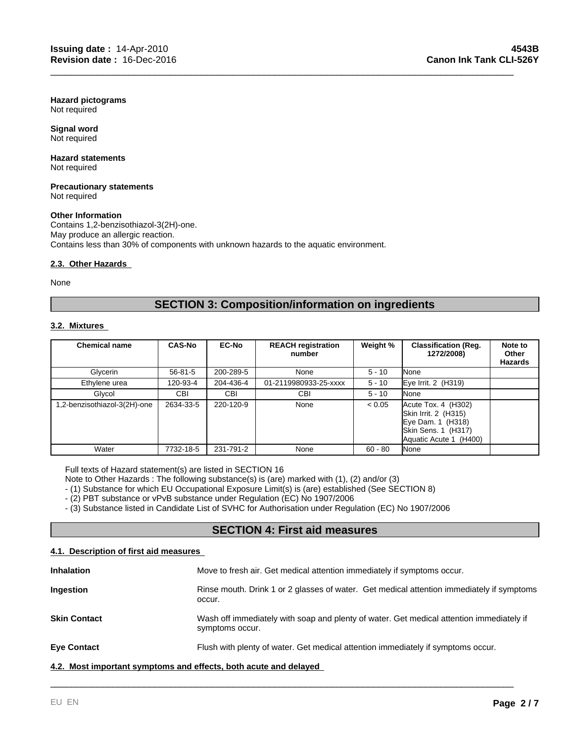**Hazard pictograms** Not required

**Signal word** Not required

#### **Hazard statements** Not required

#### **Precautionary statements** Not required

## **Other Information**

Contains 1,2-benzisothiazol-3(2H)-one. May produce an allergic reaction. Contains less than 30% of components with unknown hazards to the aquatic environment.

## **2.3. Other Hazards**

None

## **SECTION 3: Composition/information on ingredients**

\_\_\_\_\_\_\_\_\_\_\_\_\_\_\_\_\_\_\_\_\_\_\_\_\_\_\_\_\_\_\_\_\_\_\_\_\_\_\_\_\_\_\_\_\_\_\_\_\_\_\_\_\_\_\_\_\_\_\_\_\_\_\_\_\_\_\_\_\_\_\_\_\_\_\_\_\_\_\_\_\_\_\_\_\_\_\_\_\_

## **3.2. Mixtures**

| <b>Chemical name</b>        | <b>CAS-No</b> | <b>EC-No</b> | <b>REACH registration</b><br>number | Weight %  | <b>Classification (Reg.</b><br>1272/2008)                                                                              | Note to<br>Other<br>Hazards |
|-----------------------------|---------------|--------------|-------------------------------------|-----------|------------------------------------------------------------------------------------------------------------------------|-----------------------------|
| Glycerin                    | $56 - 81 - 5$ | 200-289-5    | None                                | $5 - 10$  | None                                                                                                                   |                             |
| Ethylene urea               | 120-93-4      | 204-436-4    | 01-2119980933-25-xxxx               | $5 - 10$  | Eye Irrit. 2 (H319)                                                                                                    |                             |
| Glycol                      | CBI           | CBI          | CBI                                 | $5 - 10$  | None                                                                                                                   |                             |
| .2-benzisothiazol-3(2H)-one | 2634-33-5     | 220-120-9    | None                                | < 0.05    | $Accute$ Tox. 4 $(H302)$<br>Skin Irrit. 2 (H315)<br>Eye Dam. 1 (H318)<br>Skin Sens. 1 (H317)<br>Aquatic Acute 1 (H400) |                             |
| Water                       | 7732-18-5     | 231-791-2    | None                                | $60 - 80$ | None                                                                                                                   |                             |

Full texts of Hazard statement(s) are listed in SECTION 16

Note to Other Hazards : The following substance(s) is (are) marked with (1), (2) and/or (3)

- (1) Substance for which EU Occupational Exposure Limit(s) is (are) established (See SECTION 8)

- (2) PBT substance or vPvB substance under Regulation (EC) No 1907/2006

- (3) Substance listed in Candidate List of SVHC for Authorisation under Regulation (EC) No 1907/2006

## **SECTION 4: First aid measures**

## **4.1. Description of first aid measures**

| <b>Inhalation</b>                                                | Move to fresh air. Get medical attention immediately if symptoms occur.                                     |
|------------------------------------------------------------------|-------------------------------------------------------------------------------------------------------------|
| Ingestion                                                        | Rinse mouth. Drink 1 or 2 glasses of water. Get medical attention immediately if symptoms<br>occur.         |
| <b>Skin Contact</b>                                              | Wash off immediately with soap and plenty of water. Get medical attention immediately if<br>symptoms occur. |
| <b>Eye Contact</b>                                               | Flush with plenty of water. Get medical attention immediately if symptoms occur.                            |
| 4.2. Most important symptoms and effects, both acute and delayed |                                                                                                             |

\_\_\_\_\_\_\_\_\_\_\_\_\_\_\_\_\_\_\_\_\_\_\_\_\_\_\_\_\_\_\_\_\_\_\_\_\_\_\_\_\_\_\_\_\_\_\_\_\_\_\_\_\_\_\_\_\_\_\_\_\_\_\_\_\_\_\_\_\_\_\_\_\_\_\_\_\_\_\_\_\_\_\_\_\_\_\_\_\_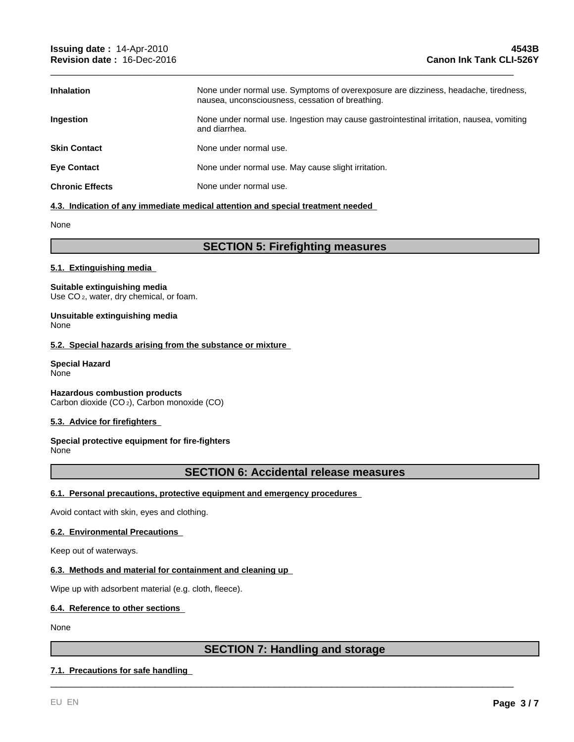| <b>Inhalation</b>      | None under normal use. Symptoms of overexposure are dizziness, headache, tiredness,<br>nausea, unconsciousness, cessation of breathing. |
|------------------------|-----------------------------------------------------------------------------------------------------------------------------------------|
| <b>Ingestion</b>       | None under normal use. Ingestion may cause gastrointestinal irritation, nausea, vomiting<br>and diarrhea.                               |
| <b>Skin Contact</b>    | None under normal use.                                                                                                                  |
| <b>Eye Contact</b>     | None under normal use. May cause slight irritation.                                                                                     |
| <b>Chronic Effects</b> | None under normal use.                                                                                                                  |

\_\_\_\_\_\_\_\_\_\_\_\_\_\_\_\_\_\_\_\_\_\_\_\_\_\_\_\_\_\_\_\_\_\_\_\_\_\_\_\_\_\_\_\_\_\_\_\_\_\_\_\_\_\_\_\_\_\_\_\_\_\_\_\_\_\_\_\_\_\_\_\_\_\_\_\_\_\_\_\_\_\_\_\_\_\_\_\_\_

## **4.3. Indication of any immediate medical attention and special treatment needed**

None

## **SECTION 5: Firefighting measures**

## **5.1. Extinguishing media**

## **Suitable extinguishing media**

Use CO<sub>2</sub>, water, dry chemical, or foam.

#### **Unsuitable extinguishing media** None

## **5.2. Special hazards arising from the substance or mixture**

#### **Special Hazard** None

**Hazardous combustion products** Carbon dioxide (CO 2), Carbon monoxide (CO)

## **5.3. Advice for firefighters**

#### **Special protective equipment for fire-fighters** None

## **SECTION 6: Accidental release measures**

## **6.1. Personal precautions, protective equipment and emergency procedures**

Avoid contact with skin, eyes and clothing.

## **6.2. Environmental Precautions**

Keep out of waterways.

## **6.3. Methods and material for containment and cleaning up**

Wipe up with adsorbent material (e.g. cloth, fleece).

## **6.4. Reference to other sections**

None

## **SECTION 7: Handling and storage**

\_\_\_\_\_\_\_\_\_\_\_\_\_\_\_\_\_\_\_\_\_\_\_\_\_\_\_\_\_\_\_\_\_\_\_\_\_\_\_\_\_\_\_\_\_\_\_\_\_\_\_\_\_\_\_\_\_\_\_\_\_\_\_\_\_\_\_\_\_\_\_\_\_\_\_\_\_\_\_\_\_\_\_\_\_\_\_\_\_

## **7.1. Precautions for safe handling**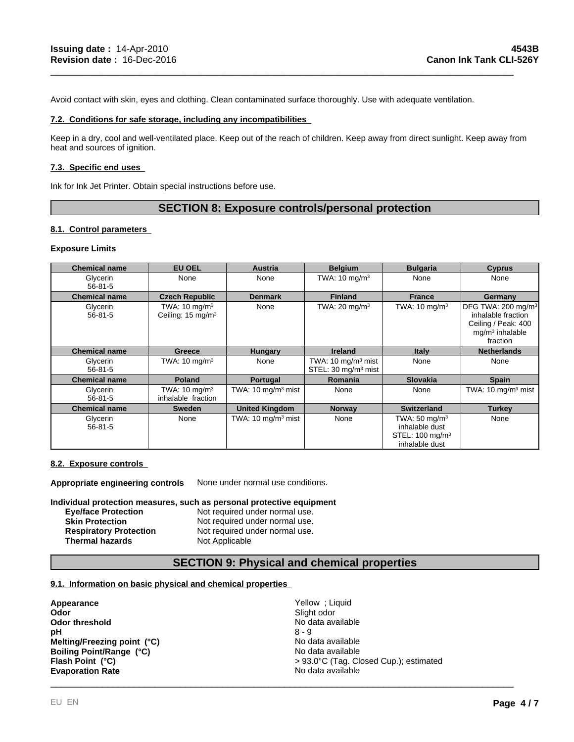Avoid contact with skin, eyes and clothing. Clean contaminated surface thoroughly. Use with adequate ventilation.

## **7.2. Conditions for safe storage, including any incompatibilities**

Keep in a dry, cool and well-ventilated place. Keep out of the reach of children. Keep away from direct sunlight. Keep away from heat and sources of ignition.

\_\_\_\_\_\_\_\_\_\_\_\_\_\_\_\_\_\_\_\_\_\_\_\_\_\_\_\_\_\_\_\_\_\_\_\_\_\_\_\_\_\_\_\_\_\_\_\_\_\_\_\_\_\_\_\_\_\_\_\_\_\_\_\_\_\_\_\_\_\_\_\_\_\_\_\_\_\_\_\_\_\_\_\_\_\_\_\_\_

#### **7.3. Specific end uses**

Ink for Ink Jet Printer. Obtain special instructions before use.

## **SECTION 8: Exposure controls/personal protection**

## **8.1. Control parameters**

#### **Exposure Limits**

| <b>Chemical name</b>      | <b>EU OEL</b>                                             | Austria                                  | <b>Belgium</b>                                                   | <b>Bulgaria</b>                                                                             | <b>Cyprus</b>                                                                                                |
|---------------------------|-----------------------------------------------------------|------------------------------------------|------------------------------------------------------------------|---------------------------------------------------------------------------------------------|--------------------------------------------------------------------------------------------------------------|
| Glycerin<br>$56 - 81 - 5$ | None                                                      | None                                     | TWA: $10 \text{ mg/m}^3$                                         | None                                                                                        | None                                                                                                         |
| <b>Chemical name</b>      | <b>Czech Republic</b>                                     | <b>Denmark</b>                           | <b>Finland</b>                                                   | <b>France</b>                                                                               | Germany                                                                                                      |
| Glycerin<br>$56 - 81 - 5$ | TWA: $10 \text{ mg/m}^3$<br>Ceiling: 15 mg/m <sup>3</sup> | None                                     | TWA: $20 \text{ mg/m}^3$                                         | TWA: $10 \text{ mg/m}^3$                                                                    | DFG TWA: 200 mg/m <sup>3</sup><br>inhalable fraction<br>Ceiling / Peak: 400<br>$mg/m3$ inhalable<br>fraction |
| <b>Chemical name</b>      | <b>Greece</b>                                             | Hungary                                  | <b>Ireland</b>                                                   | Italy                                                                                       | <b>Netherlands</b>                                                                                           |
| Glycerin<br>$56 - 81 - 5$ | TWA: $10 \text{ mg/m}^3$                                  | None                                     | TWA: $10 \text{ mg/m}^3$ mist<br>STEL: 30 mg/m <sup>3</sup> mist | None                                                                                        | None                                                                                                         |
| <b>Chemical name</b>      | <b>Poland</b>                                             | Portugal                                 | <b>Romania</b>                                                   | <b>Slovakia</b>                                                                             | <b>Spain</b>                                                                                                 |
| Glycerin<br>$56 - 81 - 5$ | TWA: $10 \text{ mg/m}^3$<br>inhalable fraction            | TWA: $10 \text{ mg/m}^3$ mist            | None                                                             | None                                                                                        | TWA: $10 \text{ mg/m}^3$ mist                                                                                |
| <b>Chemical name</b>      | <b>Sweden</b>                                             | <b>United Kingdom</b>                    | <b>Norway</b>                                                    | <b>Switzerland</b>                                                                          | <b>Turkey</b>                                                                                                |
| Glycerin<br>$56 - 81 - 5$ | None                                                      | TWA: $10 \text{ mg/m}$ <sup>3</sup> mist | None                                                             | TWA: $50 \text{ mg/m}^3$<br>inhalable dust<br>STEL: 100 mg/m <sup>3</sup><br>inhalable dust | None                                                                                                         |

#### **8.2. Exposure controls**

**Appropriate engineering controls** None under normal use conditions.

**Individual protection measures, such as personal protective equipment**

| <b>Eve/face Protection</b>    | Not required under normal use. |
|-------------------------------|--------------------------------|
| <b>Skin Protection</b>        | Not required under normal use. |
| <b>Respiratory Protection</b> | Not required under normal use. |
| <b>Thermal hazards</b>        | Not Applicable                 |

## **SECTION 9: Physical and chemical properties**

#### **9.1. Information on basic physical and chemical properties**

| Slight odor<br>Odor<br>No data available<br>Odor threshold<br>$8 - 9$<br>рH<br>Melting/Freezing point (°C)<br>No data available<br>Boiling Point/Range (°C)<br>No data available<br>> 93.0°C (Tag. Closed Cup.); estimated<br>Flash Point (°C)<br>No data available<br><b>Evaporation Rate</b> | Appearance | Yellow; Liquid |
|------------------------------------------------------------------------------------------------------------------------------------------------------------------------------------------------------------------------------------------------------------------------------------------------|------------|----------------|
|                                                                                                                                                                                                                                                                                                |            |                |
|                                                                                                                                                                                                                                                                                                |            |                |
|                                                                                                                                                                                                                                                                                                |            |                |
|                                                                                                                                                                                                                                                                                                |            |                |
|                                                                                                                                                                                                                                                                                                |            |                |
|                                                                                                                                                                                                                                                                                                |            |                |
|                                                                                                                                                                                                                                                                                                |            |                |
|                                                                                                                                                                                                                                                                                                |            |                |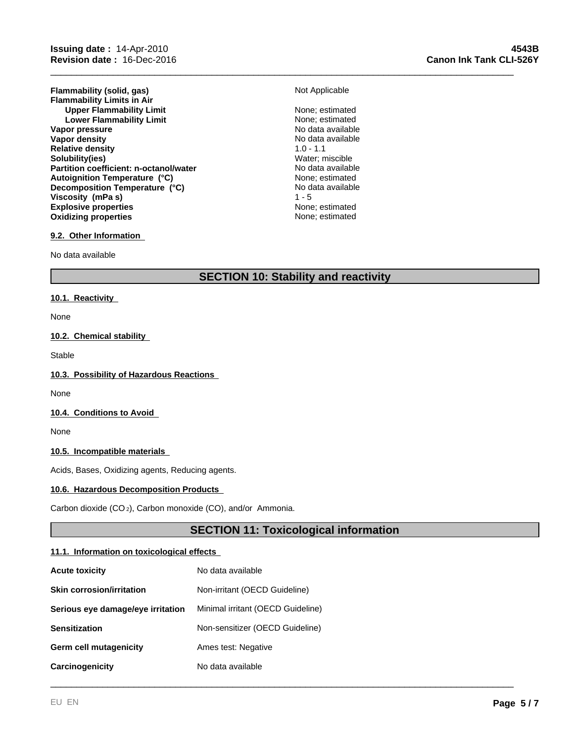**Flammability (solid, gas)** Not Applicable **Flammability Limits in Air Upper Flammability Limit** None; estimated<br>
Lower Flammability Limit<br>
None: estimated **Lower Flammability Limit** None; estimated<br>
None; estimated<br>
No data available **Vapor pressure**<br> **Vapor density**<br> **Vapor density**<br> **Vapor density Vapor density** No data<br> **Relative density** No data available 1.0 - 1.1 **Relative density Solubility(ies)** Water; miscible **Partition coefficient: n-octanol/water Explosive properties**<br> **Explosive properties**<br> **Oxidizing properties**<br> **None:** estimated **Oxidizing properties Autoignition Temperature (°C)** None; estimated **Decomposition Temperature (°C) Viscosity (mPa s)** 1 - 5

\_\_\_\_\_\_\_\_\_\_\_\_\_\_\_\_\_\_\_\_\_\_\_\_\_\_\_\_\_\_\_\_\_\_\_\_\_\_\_\_\_\_\_\_\_\_\_\_\_\_\_\_\_\_\_\_\_\_\_\_\_\_\_\_\_\_\_\_\_\_\_\_\_\_\_\_\_\_\_\_\_\_\_\_\_\_\_\_\_

No data available

## **9.2. Other Information**

No data available

## **SECTION 10: Stability and reactivity**

## **10.1. Reactivity**

None

## **10.2. Chemical stability**

Stable

## **10.3. Possibility of Hazardous Reactions**

None

## **10.4. Conditions to Avoid**

None

## **10.5. Incompatible materials**

Acids, Bases, Oxidizing agents, Reducing agents.

#### **10.6. Hazardous Decomposition Products**

Carbon dioxide (CO 2), Carbon monoxide (CO), and/or Ammonia.

## **SECTION 11: Toxicological information**

\_\_\_\_\_\_\_\_\_\_\_\_\_\_\_\_\_\_\_\_\_\_\_\_\_\_\_\_\_\_\_\_\_\_\_\_\_\_\_\_\_\_\_\_\_\_\_\_\_\_\_\_\_\_\_\_\_\_\_\_\_\_\_\_\_\_\_\_\_\_\_\_\_\_\_\_\_\_\_\_\_\_\_\_\_\_\_\_\_

## **11.1. Information on toxicological effects**

| <b>Acute toxicity</b>             | No data available                 |
|-----------------------------------|-----------------------------------|
| <b>Skin corrosion/irritation</b>  | Non-irritant (OECD Guideline)     |
| Serious eye damage/eye irritation | Minimal irritant (OECD Guideline) |
| <b>Sensitization</b>              | Non-sensitizer (OECD Guideline)   |
| Germ cell mutagenicity            | Ames test: Negative               |
| Carcinogenicity                   | No data available                 |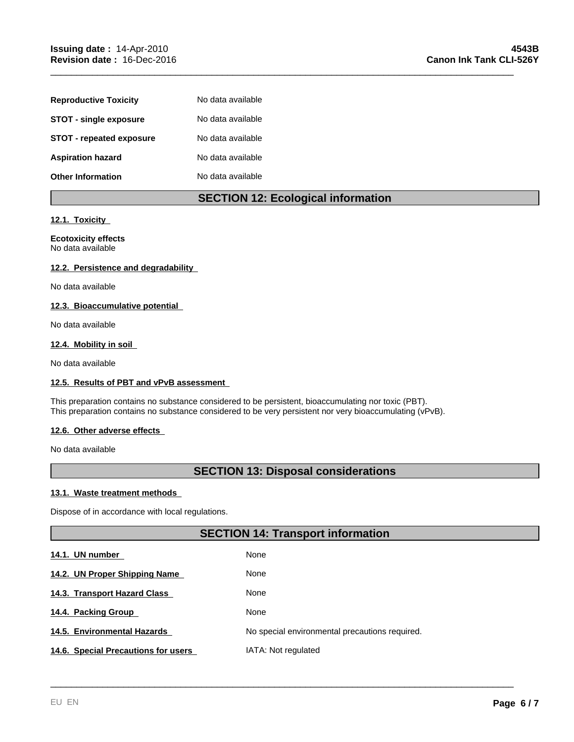| <b>Reproductive Toxicity</b>  | No data available |
|-------------------------------|-------------------|
| <b>STOT - single exposure</b> | No data available |
| STOT - repeated exposure      | No data available |
| <b>Aspiration hazard</b>      | No data available |
| <b>Other Information</b>      | No data available |

## **SECTION 12: Ecological information**

\_\_\_\_\_\_\_\_\_\_\_\_\_\_\_\_\_\_\_\_\_\_\_\_\_\_\_\_\_\_\_\_\_\_\_\_\_\_\_\_\_\_\_\_\_\_\_\_\_\_\_\_\_\_\_\_\_\_\_\_\_\_\_\_\_\_\_\_\_\_\_\_\_\_\_\_\_\_\_\_\_\_\_\_\_\_\_\_\_

## **12.1. Toxicity**

## **Ecotoxicity effects** No data available

## **12.2. Persistence and degradability**

No data available

## **12.3. Bioaccumulative potential**

No data available

## **12.4. Mobility in soil**

No data available

## **12.5. Results of PBT and vPvB assessment**

This preparation contains no substance considered to be persistent, bioaccumulating nor toxic (PBT). This preparation contains no substance considered to be very persistent nor very bioaccumulating (vPvB).

## **12.6. Other adverse effects**

No data available

## **SECTION 13: Disposal considerations**

## **13.1. Waste treatment methods**

Dispose of in accordance with local regulations.

## **SECTION 14: Transport information**

\_\_\_\_\_\_\_\_\_\_\_\_\_\_\_\_\_\_\_\_\_\_\_\_\_\_\_\_\_\_\_\_\_\_\_\_\_\_\_\_\_\_\_\_\_\_\_\_\_\_\_\_\_\_\_\_\_\_\_\_\_\_\_\_\_\_\_\_\_\_\_\_\_\_\_\_\_\_\_\_\_\_\_\_\_\_\_\_\_

| 14.1. UN number                     | None                                           |
|-------------------------------------|------------------------------------------------|
| 14.2. UN Proper Shipping Name       | None                                           |
| 14.3. Transport Hazard Class        | None                                           |
| 14.4. Packing Group                 | None                                           |
| 14.5. Environmental Hazards         | No special environmental precautions required. |
| 14.6. Special Precautions for users | IATA: Not regulated                            |